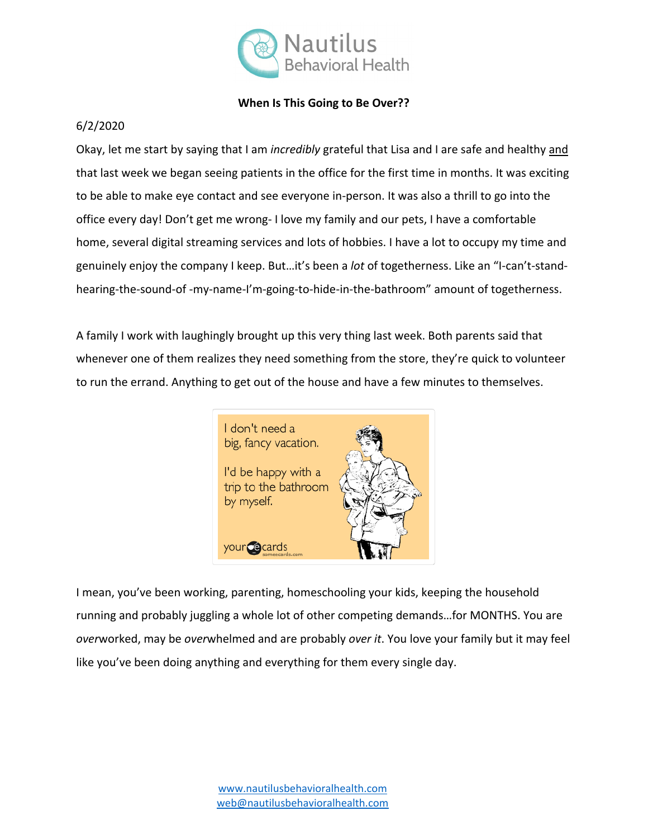

## **When Is This Going to Be Over??**

## 6/2/2020

Okay, let me start by saying that I am *incredibly* grateful that Lisa and I are safe and healthy and that last week we began seeing patients in the office for the first time in months. It was exciting to be able to make eye contact and see everyone in-person. It was also a thrill to go into the office every day! Don't get me wrong- I love my family and our pets, I have a comfortable home, several digital streaming services and lots of hobbies. I have a lot to occupy my time and genuinely enjoy the company I keep. But…it's been a *lot* of togetherness. Like an "I-can't-standhearing-the-sound-of -my-name-I'm-going-to-hide-in-the-bathroom" amount of togetherness.

A family I work with laughingly brought up this very thing last week. Both parents said that whenever one of them realizes they need something from the store, they're quick to volunteer to run the errand. Anything to get out of the house and have a few minutes to themselves.



I mean, you've been working, parenting, homeschooling your kids, keeping the household running and probably juggling a whole lot of other competing demands…for MONTHS. You are *over*worked, may be *over*whelmed and are probably *over it*. You love your family but it may feel like you've been doing anything and everything for them every single day.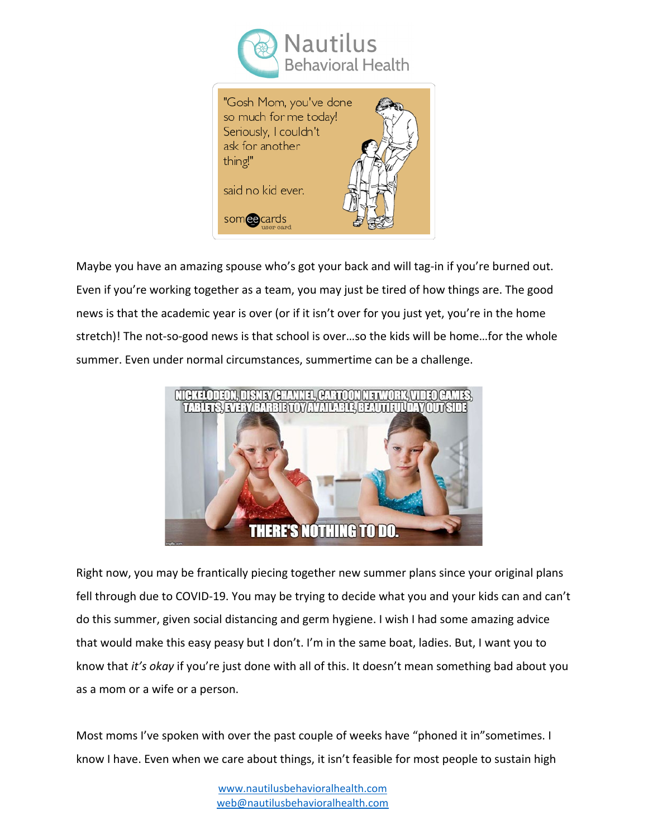



Maybe you have an amazing spouse who's got your back and will tag-in if you're burned out. Even if you're working together as a team, you may just be tired of how things are. The good news is that the academic year is over (or if it isn't over for you just yet, you're in the home stretch)! The not-so-good news is that school is over…so the kids will be home…for the whole summer. Even under normal circumstances, summertime can be a challenge.



Right now, you may be frantically piecing together new summer plans since your original plans fell through due to COVID-19. You may be trying to decide what you and your kids can and can't do this summer, given social distancing and germ hygiene. I wish I had some amazing advice that would make this easy peasy but I don't. I'm in the same boat, ladies. But, I want you to know that *it's okay* if you're just done with all of this. It doesn't mean something bad about you as a mom or a wife or a person.

Most moms I've spoken with over the past couple of weeks have "phoned it in"sometimes. I know I have. Even when we care about things, it isn't feasible for most people to sustain high